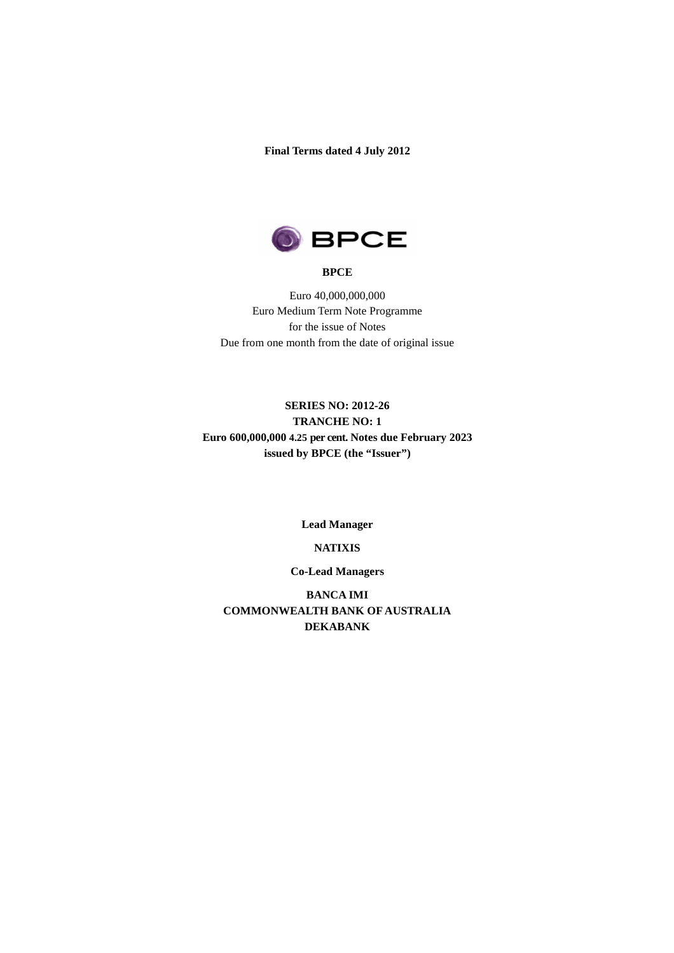**Final Terms dated 4 July 2012** 



### **BPCE**

Euro 40,000,000,000 Euro Medium Term Note Programme for the issue of Notes Due from one month from the date of original issue

# **SERIES NO: 2012-26 TRANCHE NO: 1 Euro 600,000,000 4.25 per cent. Notes due February 2023 issued by BPCE (the "Issuer")**

**Lead Manager** 

#### **NATIXIS**

#### **Co-Lead Managers**

**BANCA IMI COMMONWEALTH BANK OF AUSTRALIA DEKABANK**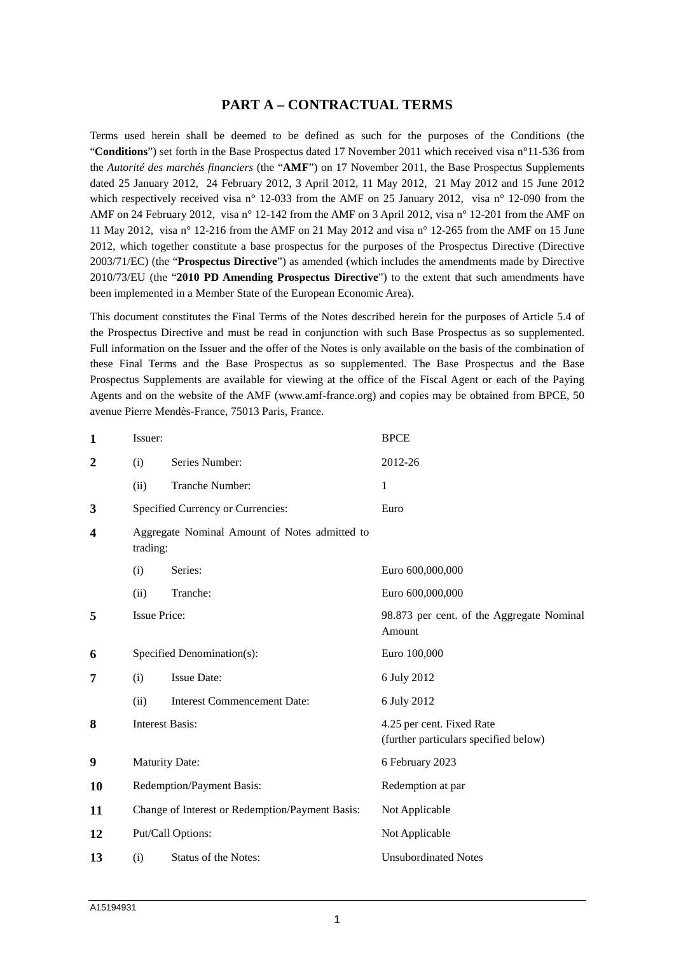# **PART A – CONTRACTUAL TERMS**

Terms used herein shall be deemed to be defined as such for the purposes of the Conditions (the "**Conditions**") set forth in the Base Prospectus dated 17 November 2011 which received visa n°11-536 from the *Autorité des marchés financiers* (the "**AMF**") on 17 November 2011, the Base Prospectus Supplements dated 25 January 2012, 24 February 2012, 3 April 2012, 11 May 2012, 21 May 2012 and 15 June 2012 which respectively received visa n° 12-033 from the AMF on 25 January 2012, visa n° 12-090 from the AMF on 24 February 2012, visa n° 12-142 from the AMF on 3 April 2012, visa n° 12-201 from the AMF on 11 May 2012, visa n° 12-216 from the AMF on 21 May 2012 and visa n° 12-265 from the AMF on 15 June 2012, which together constitute a base prospectus for the purposes of the Prospectus Directive (Directive 2003/71/EC) (the "**Prospectus Directive**") as amended (which includes the amendments made by Directive 2010/73/EU (the "**2010 PD Amending Prospectus Directive**") to the extent that such amendments have been implemented in a Member State of the European Economic Area).

This document constitutes the Final Terms of the Notes described herein for the purposes of Article 5.4 of the Prospectus Directive and must be read in conjunction with such Base Prospectus as so supplemented. Full information on the Issuer and the offer of the Notes is only available on the basis of the combination of these Final Terms and the Base Prospectus as so supplemented. The Base Prospectus and the Base Prospectus Supplements are available for viewing at the office of the Fiscal Agent or each of the Paying Agents and on the website of the AMF (www.amf-france.org) and copies may be obtained from BPCE, 50 avenue Pierre Mendès-France, 75013 Paris, France.

| $\mathbf{1}$            | Issuer:                                                   |                                    | <b>BPCE</b>                                                        |  |
|-------------------------|-----------------------------------------------------------|------------------------------------|--------------------------------------------------------------------|--|
| $\boldsymbol{2}$        | (i)                                                       | Series Number:                     | 2012-26                                                            |  |
|                         | (ii)                                                      | Tranche Number:                    | 1                                                                  |  |
| 3                       | Specified Currency or Currencies:                         |                                    | Euro                                                               |  |
| $\overline{\mathbf{4}}$ | Aggregate Nominal Amount of Notes admitted to<br>trading: |                                    |                                                                    |  |
|                         | (i)                                                       | Series:                            | Euro 600,000,000                                                   |  |
|                         | (ii)                                                      | Tranche:                           | Euro 600,000,000                                                   |  |
| 5                       | <b>Issue Price:</b>                                       |                                    | 98.873 per cent. of the Aggregate Nominal<br>Amount                |  |
| 6                       |                                                           | Specified Denomination(s):         | Euro 100,000                                                       |  |
| 7                       | (i)                                                       | <b>Issue Date:</b>                 | 6 July 2012                                                        |  |
|                         | (ii)                                                      | <b>Interest Commencement Date:</b> | 6 July 2012                                                        |  |
| 8                       | <b>Interest Basis:</b>                                    |                                    | 4.25 per cent. Fixed Rate<br>(further particulars specified below) |  |
| 9                       | <b>Maturity Date:</b>                                     |                                    | 6 February 2023                                                    |  |
| 10                      | Redemption/Payment Basis:                                 |                                    | Redemption at par                                                  |  |
| 11                      | Change of Interest or Redemption/Payment Basis:           |                                    | Not Applicable                                                     |  |
| 12                      |                                                           | Put/Call Options:                  | Not Applicable                                                     |  |
| 13                      | (i)                                                       | Status of the Notes:               | <b>Unsubordinated Notes</b>                                        |  |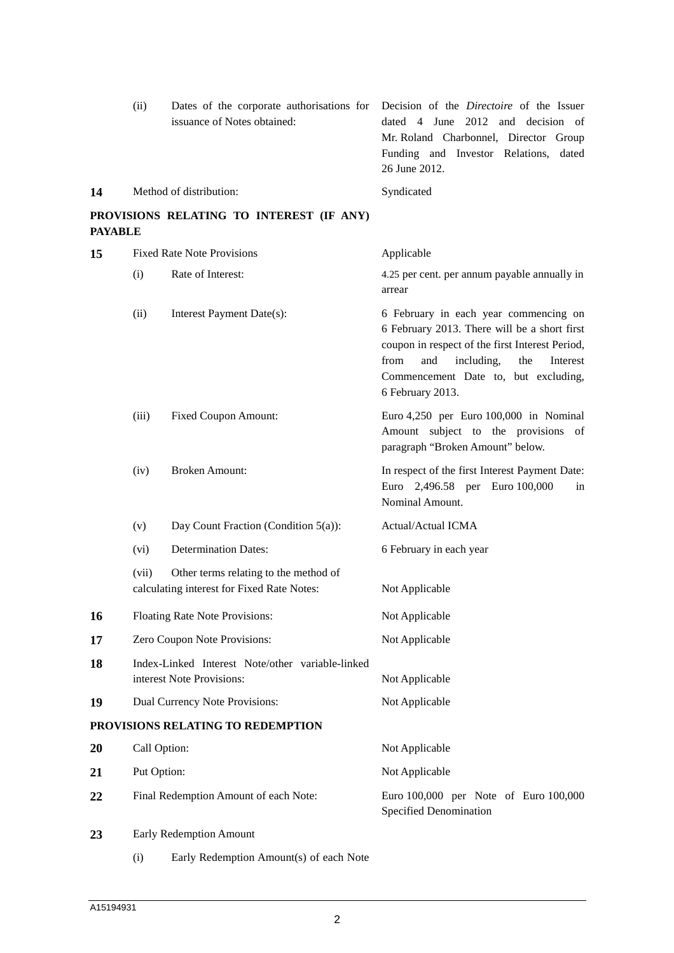|                                                            | (ii)                                                                          | Dates of the corporate authorisations for<br>issuance of Notes obtained:            | Decision of the <i>Directoire</i> of the Issuer<br>dated 4 June 2012 and decision of<br>Mr. Roland Charbonnel, Director Group<br>Funding and Investor Relations, dated<br>26 June 2012.                                                              |  |
|------------------------------------------------------------|-------------------------------------------------------------------------------|-------------------------------------------------------------------------------------|------------------------------------------------------------------------------------------------------------------------------------------------------------------------------------------------------------------------------------------------------|--|
| 14                                                         |                                                                               | Method of distribution:                                                             | Syndicated                                                                                                                                                                                                                                           |  |
| PROVISIONS RELATING TO INTEREST (IF ANY)<br><b>PAYABLE</b> |                                                                               |                                                                                     |                                                                                                                                                                                                                                                      |  |
| 15                                                         |                                                                               | <b>Fixed Rate Note Provisions</b>                                                   | Applicable                                                                                                                                                                                                                                           |  |
|                                                            | (i)                                                                           | Rate of Interest:                                                                   | 4.25 per cent. per annum payable annually in<br>arrear                                                                                                                                                                                               |  |
|                                                            | (ii)                                                                          | Interest Payment Date(s):                                                           | 6 February in each year commencing on<br>6 February 2013. There will be a short first<br>coupon in respect of the first Interest Period,<br>including,<br>from<br>and<br>the<br>Interest<br>Commencement Date to, but excluding,<br>6 February 2013. |  |
|                                                            | (iii)                                                                         | <b>Fixed Coupon Amount:</b>                                                         | Euro 4,250 per Euro 100,000 in Nominal<br>Amount subject to the provisions of<br>paragraph "Broken Amount" below.                                                                                                                                    |  |
|                                                            | (iv)                                                                          | <b>Broken Amount:</b>                                                               | In respect of the first Interest Payment Date:<br>Euro 2,496.58 per Euro 100,000<br>in<br>Nominal Amount.                                                                                                                                            |  |
|                                                            | (v)                                                                           | Day Count Fraction (Condition 5(a)):                                                | Actual/Actual ICMA                                                                                                                                                                                                                                   |  |
|                                                            | (vi)                                                                          | <b>Determination Dates:</b>                                                         | 6 February in each year                                                                                                                                                                                                                              |  |
|                                                            | (vii)                                                                         | Other terms relating to the method of<br>calculating interest for Fixed Rate Notes: | Not Applicable                                                                                                                                                                                                                                       |  |
| 16                                                         |                                                                               | Floating Rate Note Provisions:                                                      | Not Applicable                                                                                                                                                                                                                                       |  |
| 17                                                         |                                                                               | Zero Coupon Note Provisions:                                                        | Not Applicable                                                                                                                                                                                                                                       |  |
| 18                                                         | Index-Linked Interest Note/other variable-linked<br>interest Note Provisions: |                                                                                     | Not Applicable                                                                                                                                                                                                                                       |  |
| 19                                                         |                                                                               | Dual Currency Note Provisions:                                                      | Not Applicable                                                                                                                                                                                                                                       |  |
|                                                            |                                                                               | PROVISIONS RELATING TO REDEMPTION                                                   |                                                                                                                                                                                                                                                      |  |
| 20                                                         | Call Option:                                                                  |                                                                                     | Not Applicable                                                                                                                                                                                                                                       |  |
| 21                                                         | Put Option:                                                                   |                                                                                     | Not Applicable                                                                                                                                                                                                                                       |  |
| 22                                                         |                                                                               | Final Redemption Amount of each Note:                                               | Euro 100,000 per Note of Euro 100,000<br>Specified Denomination                                                                                                                                                                                      |  |
| 23                                                         |                                                                               | Early Redemption Amount                                                             |                                                                                                                                                                                                                                                      |  |
|                                                            | (i)                                                                           | Early Redemption Amount(s) of each Note                                             |                                                                                                                                                                                                                                                      |  |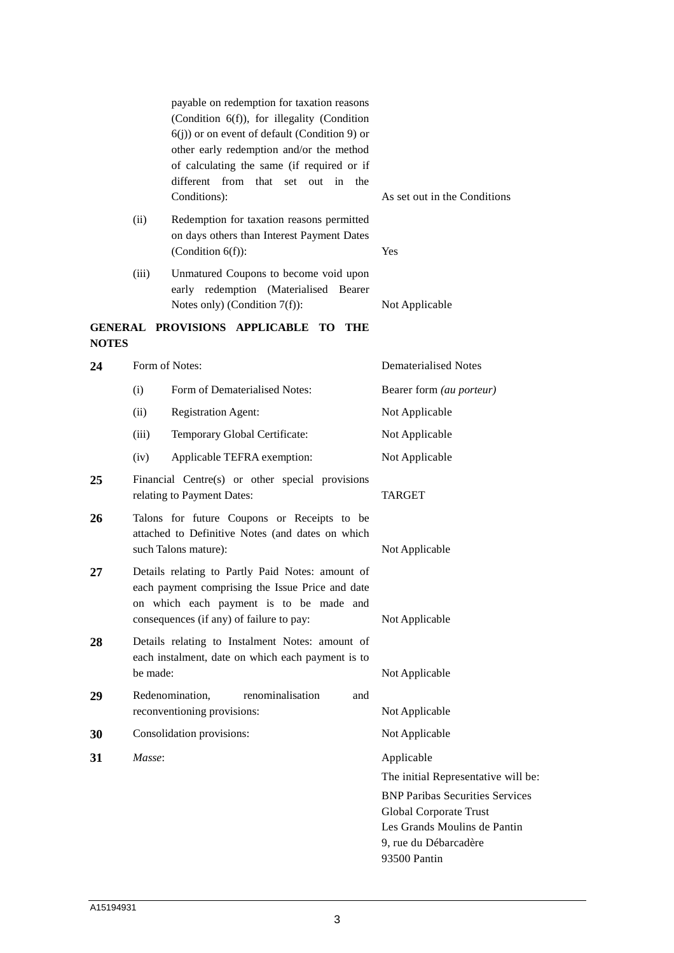| payable on redemption for taxation reasons     |  |  |  |
|------------------------------------------------|--|--|--|
| (Condition $6(f)$ ), for illegality (Condition |  |  |  |
| $6(i)$ or on event of default (Condition 9) or |  |  |  |
| other early redemption and/or the method       |  |  |  |
| of calculating the same (if required or if     |  |  |  |
| different from that set out in the             |  |  |  |
| Conditions):                                   |  |  |  |

As set out in the Conditions

- (ii) Redemption for taxation reasons permitted on days others than Interest Payment Dates (Condition 6(f)): Yes
- (iii) Unmatured Coupons to become void upon early redemption (Materialised Bearer Notes only) (Condition 7(f)): Not Applicable

# **GENERAL PROVISIONS APPLICABLE TO THE NOTES**

| 24 |                                                                                                                                                                                             | Form of Notes:                                                                | <b>Dematerialised Notes</b>            |  |
|----|---------------------------------------------------------------------------------------------------------------------------------------------------------------------------------------------|-------------------------------------------------------------------------------|----------------------------------------|--|
|    | (i)                                                                                                                                                                                         | Form of Dematerialised Notes:                                                 | Bearer form (au porteur)               |  |
|    | (ii)                                                                                                                                                                                        | <b>Registration Agent:</b>                                                    | Not Applicable                         |  |
|    | (iii)                                                                                                                                                                                       | Temporary Global Certificate:                                                 | Not Applicable                         |  |
|    | (iv)                                                                                                                                                                                        | Applicable TEFRA exemption:                                                   | Not Applicable                         |  |
| 25 |                                                                                                                                                                                             | Financial Centre(s) or other special provisions<br>relating to Payment Dates: | <b>TARGET</b>                          |  |
| 26 | Talons for future Coupons or Receipts to be<br>attached to Definitive Notes (and dates on which<br>such Talons mature):                                                                     |                                                                               | Not Applicable                         |  |
| 27 | Details relating to Partly Paid Notes: amount of<br>each payment comprising the Issue Price and date<br>on which each payment is to be made and<br>consequences (if any) of failure to pay: |                                                                               | Not Applicable                         |  |
| 28 | Details relating to Instalment Notes: amount of<br>each instalment, date on which each payment is to<br>be made:                                                                            |                                                                               | Not Applicable                         |  |
| 29 |                                                                                                                                                                                             | Redenomination,<br>renominalisation<br>and<br>reconventioning provisions:     | Not Applicable                         |  |
| 30 |                                                                                                                                                                                             | Consolidation provisions:                                                     | Not Applicable                         |  |
| 31 | Masse:                                                                                                                                                                                      |                                                                               | Applicable                             |  |
|    |                                                                                                                                                                                             |                                                                               | The initial Representative will be:    |  |
|    |                                                                                                                                                                                             |                                                                               | <b>BNP Paribas Securities Services</b> |  |
|    |                                                                                                                                                                                             |                                                                               | <b>Global Corporate Trust</b>          |  |
|    |                                                                                                                                                                                             |                                                                               | Les Grands Moulins de Pantin           |  |
|    |                                                                                                                                                                                             |                                                                               | 9, rue du Débarcadère                  |  |
|    |                                                                                                                                                                                             |                                                                               | 93500 Pantin                           |  |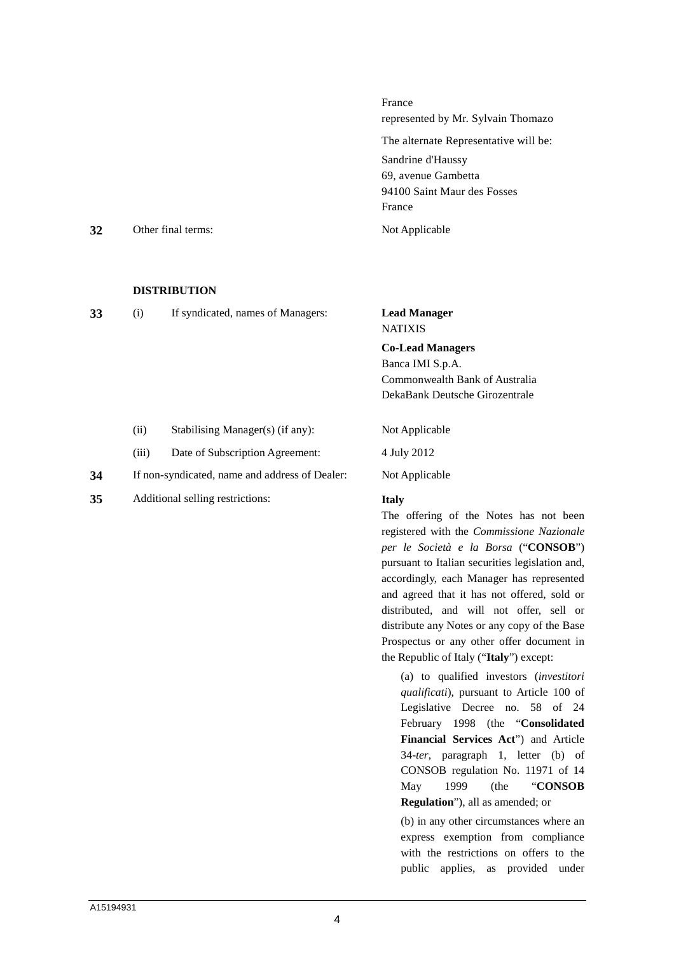France represented by Mr. Sylvain Thomazo The alternate Representative will be: Sandrine d'Haussy 69, avenue Gambetta 94100 Saint Maur des Fosses France **32** Other final terms: Not Applicable

#### **DISTRIBUTION**

| 33 | If syndicated, names of Managers: | <b>Lead Manager</b> |  |
|----|-----------------------------------|---------------------|--|
|    |                                   | <b>MATIVIC</b>      |  |

NATIXIS

**Co-Lead Managers**  Banca IMI S.p.A. Commonwealth Bank of Australia DekaBank Deutsche Girozentrale

- (ii) Stabilising Manager(s) (if any): Not Applicable
- (iii) Date of Subscription Agreement: 4 July 2012
- **34** If non-syndicated, name and address of Dealer: Not Applicable
- **35** Additional selling restrictions: **Italy**

The offering of the Notes has not been registered with the *Commissione Nazionale per le Società e la Borsa* ("**CONSOB**") pursuant to Italian securities legislation and, accordingly, each Manager has represented and agreed that it has not offered, sold or distributed, and will not offer, sell or distribute any Notes or any copy of the Base Prospectus or any other offer document in the Republic of Italy ("**Italy**") except:

(a) to qualified investors (*investitori qualificati*), pursuant to Article 100 of Legislative Decree no. 58 of 24 February 1998 (the "**Consolidated Financial Services Act**") and Article 34-*ter*, paragraph 1, letter (b) of CONSOB regulation No. 11971 of 14 May 1999 (the "**CONSOB Regulation**"), all as amended; or

(b) in any other circumstances where an express exemption from compliance with the restrictions on offers to the public applies, as provided under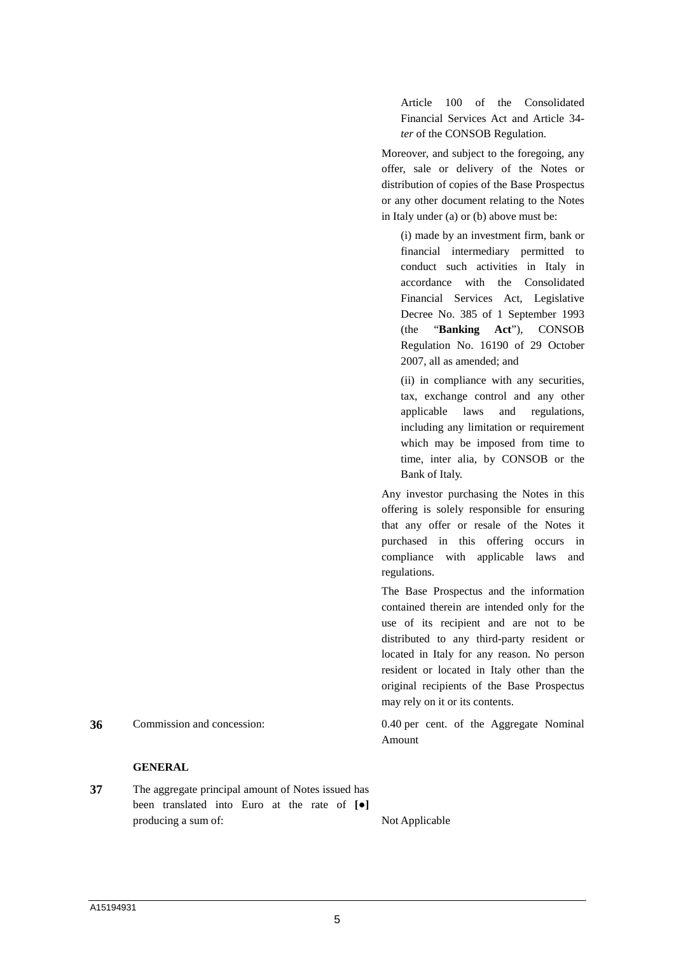Article 100 of the Consolidated Financial Services Act and Article 34 *ter* of the CONSOB Regulation.

Moreover, and subject to the foregoing, any offer, sale or delivery of the Notes or distribution of copies of the Base Prospectus or any other document relating to the Notes in Italy under (a) or (b) above must be:

(i) made by an investment firm, bank or financial intermediary permitted to conduct such activities in Italy in accordance with the Consolidated Financial Services Act, Legislative Decree No. 385 of 1 September 1993 (the "**Banking Act**"), CONSOB Regulation No. 16190 of 29 October 2007, all as amended; and

(ii) in compliance with any securities, tax, exchange control and any other applicable laws and regulations, including any limitation or requirement which may be imposed from time to time, inter alia, by CONSOB or the Bank of Italy.

Any investor purchasing the Notes in this offering is solely responsible for ensuring that any offer or resale of the Notes it purchased in this offering occurs in compliance with applicable laws and regulations.

The Base Prospectus and the information contained therein are intended only for the use of its recipient and are not to be distributed to any third-party resident or located in Italy for any reason. No person resident or located in Italy other than the original recipients of the Base Prospectus may rely on it or its contents.

**36** Commission and concession: 0.40 per cent. of the Aggregate Nominal Amount

#### **GENERAL**

**37** The aggregate principal amount of Notes issued has been translated into Euro at the rate of **[●]** producing a sum of: Not Applicable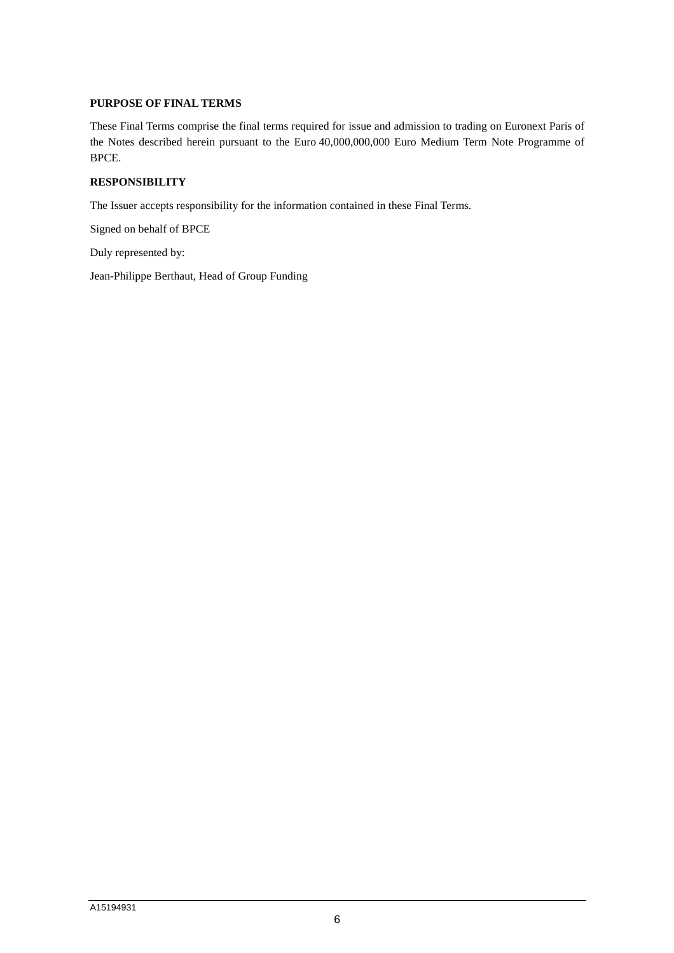## **PURPOSE OF FINAL TERMS**

These Final Terms comprise the final terms required for issue and admission to trading on Euronext Paris of the Notes described herein pursuant to the Euro 40,000,000,000 Euro Medium Term Note Programme of BPCE.

## **RESPONSIBILITY**

The Issuer accepts responsibility for the information contained in these Final Terms.

Signed on behalf of BPCE

Duly represented by:

Jean-Philippe Berthaut, Head of Group Funding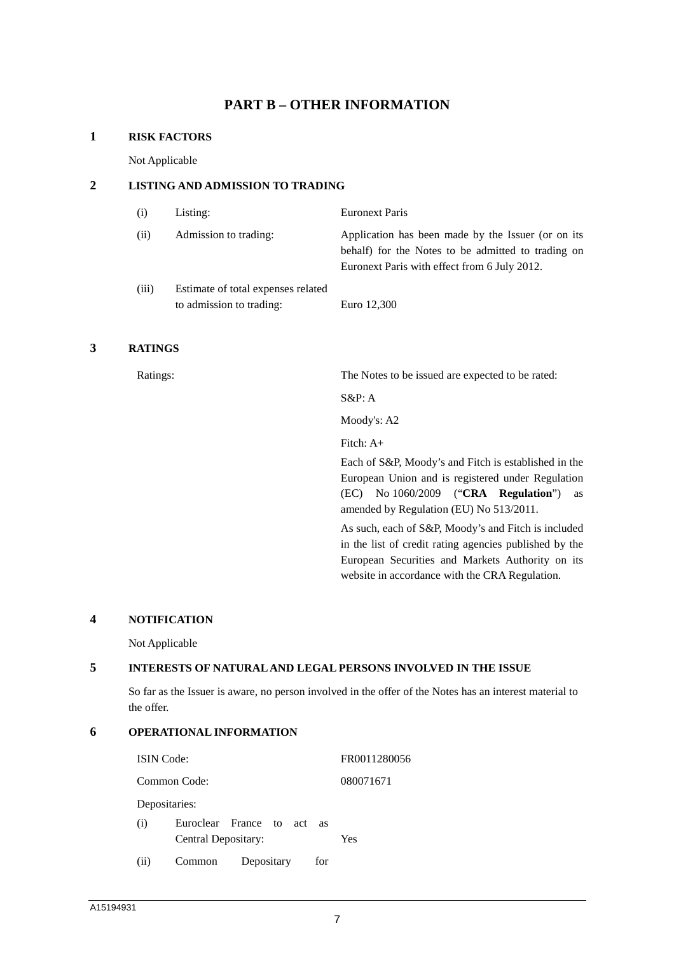# **PART B – OTHER INFORMATION**

### **1 RISK FACTORS**

Not Applicable

## **2 LISTING AND ADMISSION TO TRADING**

| (i)   | Listing:                                                       | <b>Euronext Paris</b>                                                                                                                                    |
|-------|----------------------------------------------------------------|----------------------------------------------------------------------------------------------------------------------------------------------------------|
| (ii)  | Admission to trading:                                          | Application has been made by the Issuer (or on its<br>behalf) for the Notes to be admitted to trading on<br>Euronext Paris with effect from 6 July 2012. |
| (iii) | Estimate of total expenses related<br>to admission to trading: | Euro 12,300                                                                                                                                              |

## **3 RATINGS**

Ratings: The Notes to be issued are expected to be rated:

S&P: A

Moody's: A2

Fitch: A+

Each of S&P, Moody's and Fitch is established in the European Union and is registered under Regulation (EC) No 1060/2009 ("**CRA Regulation**") as amended by Regulation (EU) No 513/2011.

As such, each of S&P, Moody's and Fitch is included in the list of credit rating agencies published by the European Securities and Markets Authority on its website in accordance with the CRA Regulation.

#### **4 NOTIFICATION**

Not Applicable

## **5 INTERESTS OF NATURAL AND LEGAL PERSONS INVOLVED IN THE ISSUE**

So far as the Issuer is aware, no person involved in the offer of the Notes has an interest material to the offer.

# **6 OPERATIONAL INFORMATION**

| <b>ISIN</b> Code: |                     |                         |     | FR0011280056 |
|-------------------|---------------------|-------------------------|-----|--------------|
|                   | Common Code:        | 080071671               |     |              |
| Depositaries:     |                     |                         |     |              |
| (i)               | Central Depositary: | Euroclear France to act | as  | Yes          |
| (ii)              | Common              | Depositary              | for |              |